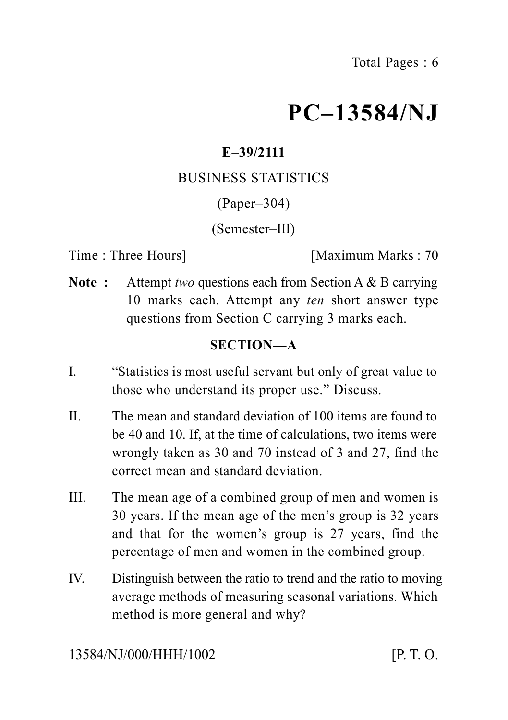# **PC–13584/NJ**

# **E–39/2111**

### BUSINESS STATISTICS

(Paper–304)

#### (Semester–III)

Time : Three Hours] [Maximum Marks : 70

**Note :** Attempt *two* questions each from Section A & B carrying 10 marks each. Attempt any *ten* short answer type questions from Section C carrying 3 marks each.

## **SECTION—A**

- I. "Statistics is most useful servant but only of great value to those who understand its proper use." Discuss.
- II. The mean and standard deviation of 100 items are found to be 40 and 10. If, at the time of calculations, two items were wrongly taken as 30 and 70 instead of 3 and 27, find the correct mean and standard deviation.
- III. The mean age of a combined group of men and women is 30 years. If the mean age of the men's group is 32 years and that for the women's group is 27 years, find the percentage of men and women in the combined group.
- IV. Distinguish between the ratio to trend and the ratio to moving average methods of measuring seasonal variations. Which method is more general and why?

13584/NJ/000/HHH/1002 [P. T. O.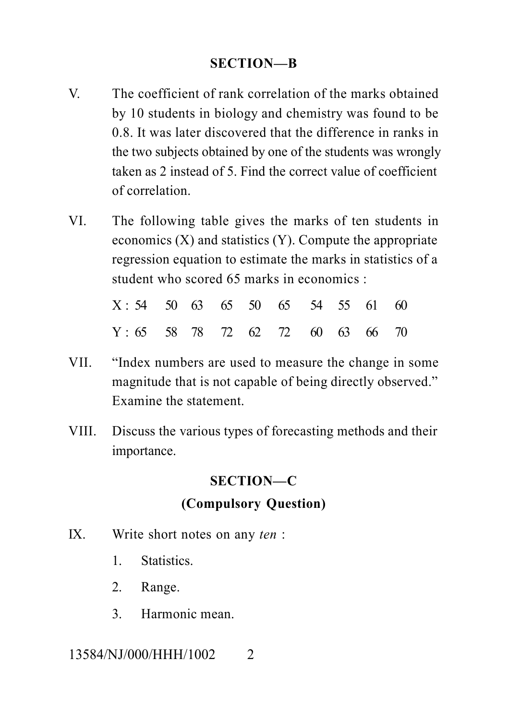#### **SECTION—B**

- V. The coefficient of rank correlation of the marks obtained by 10 students in biology and chemistry was found to be 0.8. It was later discovered that the difference in ranks in the two subjects obtained by one of the students was wrongly taken as 2 instead of 5. Find the correct value of coefficient of correlation.
- VI. The following table gives the marks of ten students in economics (X) and statistics (Y). Compute the appropriate regression equation to estimate the marks in statistics of a student who scored 65 marks in economics :

| $X: 54$ 50 63 65 50 65 54 55 61 60 |  |  |  |  |  |
|------------------------------------|--|--|--|--|--|
| $Y: 65$ 58 78 72 62 72 60 63 66 70 |  |  |  |  |  |

- VII. "Index numbers are used to measure the change in some magnitude that is not capable of being directly observed." Examine the statement.
- VIII. Discuss the various types of forecasting methods and their importance.

#### **SECTION—C**

#### **(Compulsory Question)**

- IX. Write short notes on any *ten* :
	- 1. Statistics.
	- 2. Range.
	- 3. Harmonic mean.

#### 13584/NJ/000/HHH/1002 2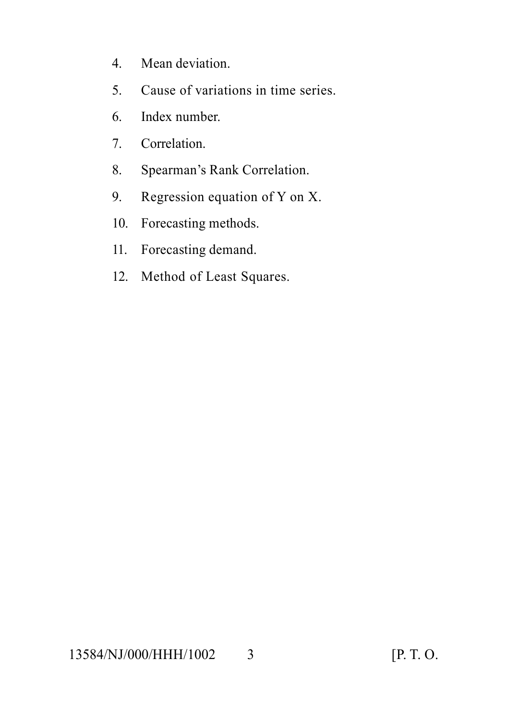- 4. Mean deviation.
- 5. Cause of variations in time series.
- 6. Index number.
- 7. Correlation.
- 8. Spearman's Rank Correlation.
- 9. Regression equation of Y on X.
- 10. Forecasting methods.
- 11. Forecasting demand.
- 12. Method of Least Squares.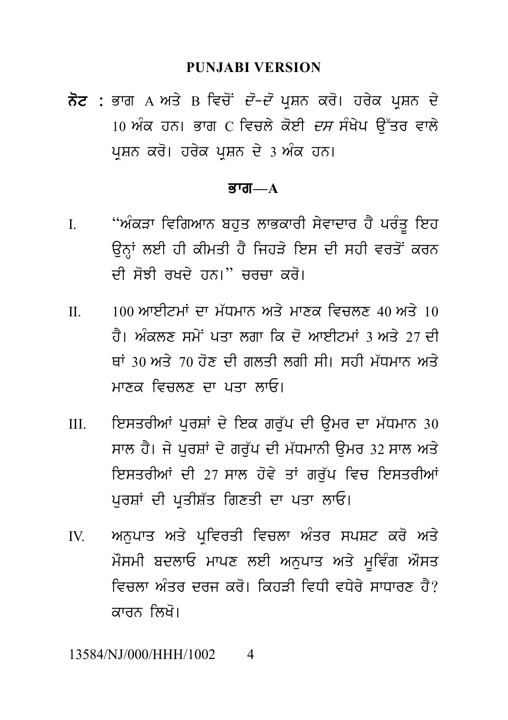#### **PUNJABI VERSION**

ਨੋਟ : ਭਾਗ A ਅਤੇ B ਵਿਚੋਂ *ਦੋ-ਦੋ* ਪੁਸ਼ਨ ਕਰੋ। ਹਰੇਕ ਪੁਸ਼ਨ ਦੇ 10 ਅੰਕ ਹਨ। ਭਾਗ  $C$  ਵਿਚਲੇ ਕੋਈ *ਦਸ* ਸੰਖੇਪ ਉੱਤਰ ਵਾਲੇ ਪਸ਼ਨ ਕਰੋ। ਹਰੇਕ ਪਸ਼ਨ ਦੇ 3 ਅੰਕ ਹਨ।

#### **ਭਾਗ—** $A$

- "ਅੰਕੜਾ ਵਿਗਿਆਨ ਬਹਤ ਲਾਭਕਾਰੀ ਸੇਵਾਦਾਰ ਹੈ ਪਰੰਤ ਇਹ  $\mathbf{I}$ ਉਨ੍ਹਾਂ ਲਈ ਹੀ ਕੀਮਤੀ ਹੈ ਜਿਹੜੇ ਇਸ ਦੀ ਸਹੀ ਵਰਤੋਂ ਕਰਨ ਦੀ ਸੋਝੀ ਰਖਦੇ ਹਨ।" ਜਰਜ਼ਾ ਕਰੋ।
- $100$  ਆਈਟਮਾਂ ਦਾ ਮੱਧਮਾਨ ਅਤੇ ਮਾਣਕ ਵਿਚਲਣ 40 ਅਤੇ  $10$  $\Pi$ ਹੈ। ਅੰਕਲਣ ਸਮੇਂ ਪਤਾ ਲਗਾ ਕਿ ਦੋ ਆਈਟਮਾਂ 3 ਅਤੇ 27 ਦੀ ਥਾਂ 30 ਅਤੇ 70 ਹੋਣ ਦੀ ਗੁਲਤੀ ਲਗੀ ਸੀ। ਸਹੀ ਮੱਧਮਾਨ ਅਤੇ ਮਾਣਕ ਵਿਚਲਣ ਦਾ ਪਤਾ ਲਾਓ।
- ਇਸਤਰੀਆਂ ਪਰਸ਼ਾਂ ਦੇ ਇਕ ਗਰੱਪ ਦੀ ਉਮਰ ਦਾ ਮੱਧਮਾਨ 30  $III$ ਸਾਲ ਹੈ। ਜੇ ਪਰਸ਼ਾਂ ਦੇ ਗਰੱਪ ਦੀ ਮੱਧਮਾਨੀ ਉਮਰ 32 ਸਾਲ ਅਤੇ ਇਸਤਰੀਆਂ ਦੀ 27 ਸਾਲ ਹੋਵੇ ਤਾਂ ਗਰੱਪ ਵਿਚ ਇਸਤਰੀਆਂ ਪਰਸ਼ਾਂ ਦੀ ਪਤੀਸ਼ੱਤ ਗਿਣਤੀ ਦਾ ਪਤਾ ਲਾਓ।
- ਅਨਪਾਤ ਅਤੇ ਪਵਿਰਤੀ ਵਿਚਲਾ ਅੰਤਰ ਸਪਸ਼ਟ ਕਰੋ ਅਤੇ  $\mathbf{I}$ ਮੌਸਮੀ ਬਦਲਾਓ ਮਾਪਣ ਲਈ ਅਨਪਾਤ ਅਤੇ ਮਵਿੰਗ ਔਸਤ ਵਿਜ਼ਲਾ ਅੰਤਰ ਦਰਜ ਕਰੋ। ਕਿਹਤੀ ਵਿਧੀ ਵਧੇਰੇ ਸਾਧਾਰਣ ਹੈ? ਕਾਰਨ ਲਿਖੋ।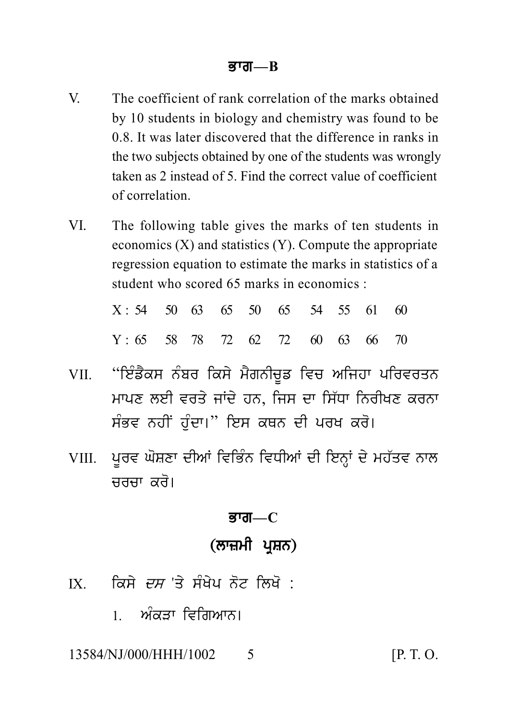- $\mathbf{V}$ The coefficient of rank correlation of the marks obtained by 10 students in biology and chemistry was found to be 0.8 It was later discovered that the difference in ranks in the two subjects obtained by one of the students was wrongly taken as 2 instead of 5 Find the correct value of coefficient of correlation
- **VI** The following table gives the marks of ten students in economics  $(X)$  and statistics  $(Y)$ . Compute the appropriate regression equation to estimate the marks in statistics of a student who scored 65 marks in economics.

| $X: 54$ 50 63 65 50 65 54 55 61 60 |  |  |  |  |  |
|------------------------------------|--|--|--|--|--|
| $Y: 65$ 58 78 72 62 72 60 63 66 70 |  |  |  |  |  |

- ''ਇੰਡੈਕਸ ਨੰਬਰ ਕਿਸੇ ਮੈਗਨੀਚੁਡ ਵਿਚ ਅਜਿਹਾ ਪਰਿਵਰਤਨ VII. ਮਾਪਣ ਲਈ ਵਰਤੇ ਜਾਂਦੇ ਹਨ. ਜਿਸ ਦਾ ਸਿੱਧਾ ਨਿਰੀਖਣ ਕਰਨਾ ਸੰਭਵ ਨਹੀਂ ਹੰਦਾ।'' ਇਸ ਕਥਨ ਦੀ ਪਰਖ ਕਰੋ।
- ਪੂਰਵ ਘੋਸ਼ਣਾ ਦੀਆਂ ਵਿਭਿੰਨ ਵਿਧੀਆਂ ਦੀ ਇਨ੍ਹਾਂ ਦੇ ਮਹੱਤਵ ਨਾਲ VIII. ਜਰਜਾ *ਕ*ਰੋ।

#### <u>ब्राता—C</u>

# (ਲਾਜ਼ਮੀ ਪਸ਼ਨ)

- ਕਿਸੇ *ਦਸ* 'ਤੇ ਸੰਖੇਪ ਨੋਟ ਲਿਖੋ ·  $\overline{X}$ 
	- । ਅੰਕਤਾ ਵਿਗਿਆਨ।

#### 13584/NJ/000/HHH/1002  $\varsigma$

 $[P, T, O]$